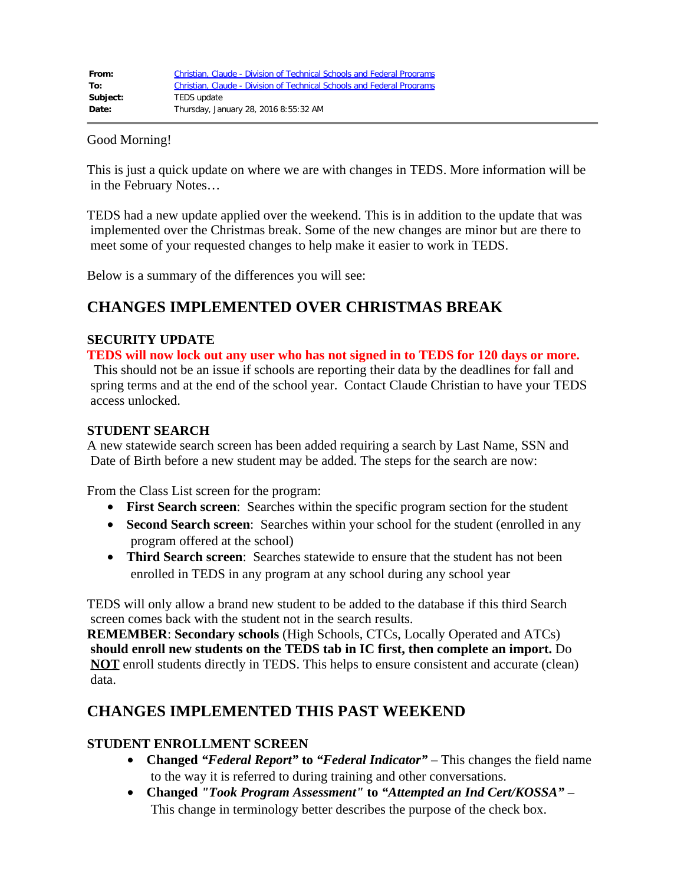| From:    | Christian, Claude - Division of Technical Schools and Federal Programs |
|----------|------------------------------------------------------------------------|
| To:      | Christian, Claude - Division of Technical Schools and Federal Programs |
| Subject: | TEDS update                                                            |
| Date:    | Thursday, January 28, 2016 8:55:32 AM                                  |

#### Good Morning!

This is just a quick update on where we are with changes in TEDS. More information will be in the February Notes…

TEDS had a new update applied over the weekend. This is in addition to the update that was implemented over the Christmas break. Some of the new changes are minor but are there to meet some of your requested changes to help make it easier to work in TEDS.

Below is a summary of the differences you will see:

# **CHANGES IMPLEMENTED OVER CHRISTMAS BREAK**

### **SECURITY UPDATE**

**TEDS will now lock out any user who has not signed in to TEDS for 120 days or more.**

This should not be an issue if schools are reporting their data by the deadlines for fall and spring terms and at the end of the school year. Contact Claude Christian to have your TEDS access unlocked.

### **STUDENT SEARCH**

A new statewide search screen has been added requiring a search by Last Name, SSN and Date of Birth before a new student may be added. The steps for the search are now:

From the Class List screen for the program:

- · **First Search screen**: Searches within the specific program section for the student
- **Second Search screen**: Searches within your school for the student (enrolled in any program offered at the school)
- · **Third Search screen**: Searches statewide to ensure that the student has not been enrolled in TEDS in any program at any school during any school year

TEDS will only allow a brand new student to be added to the database if this third Search screen comes back with the student not in the search results.

**REMEMBER**: **Secondary schools** (High Schools, CTCs, Locally Operated and ATCs) **should enroll new students on the TEDS tab in IC first, then complete an import.** Do **NOT** enroll students directly in TEDS. This helps to ensure consistent and accurate (clean) data.

# **CHANGES IMPLEMENTED THIS PAST WEEKEND**

### **STUDENT ENROLLMENT SCREEN**

- · **Changed** *"Federal Report"* **to** *"Federal Indicator"* This changes the field name to the way it is referred to during training and other conversations.
- · **Changed** *"Took Program Assessment"* **to** *"Attempted an Ind Cert/KOSSA"* This change in terminology better describes the purpose of the check box.